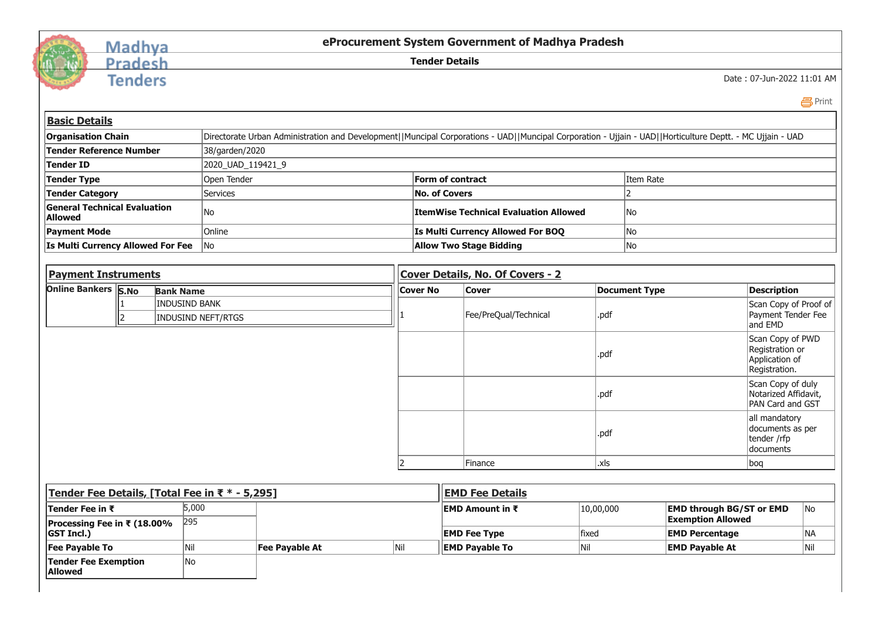

## Madhya<br>Pradesh

**Tenders** 

**eProcurement System Government of Madhya Pradesh**

**Tender Details**

Date : 07-Jun-2022 11:01 AM

|  | × |
|--|---|
|--|---|

| <b>Basic Details</b>                                 |                                            |                  |                                                                                                                                                           |                                              |                                  |      |                      |                                                                        |  |  |
|------------------------------------------------------|--------------------------------------------|------------------|-----------------------------------------------------------------------------------------------------------------------------------------------------------|----------------------------------------------|----------------------------------|------|----------------------|------------------------------------------------------------------------|--|--|
| <b>Organisation Chain</b>                            |                                            |                  | Directorate Urban Administration and Development  Muncipal Corporations - UAD  Muncipal Corporation - Ujjain - UAD  Horticulture Deptt. - MC Ujjain - UAD |                                              |                                  |      |                      |                                                                        |  |  |
| Tender Reference Number                              |                                            |                  | 38/garden/2020                                                                                                                                            |                                              |                                  |      |                      |                                                                        |  |  |
| Tender ID                                            |                                            |                  | 2020_UAD_119421_9                                                                                                                                         |                                              |                                  |      |                      |                                                                        |  |  |
| Tender Type                                          |                                            |                  | Open Tender                                                                                                                                               |                                              | <b>Form of contract</b>          |      |                      | Item Rate                                                              |  |  |
|                                                      | <b>Tender Category</b><br><b>Services</b>  |                  |                                                                                                                                                           | <b>No. of Covers</b>                         |                                  |      |                      |                                                                        |  |  |
| <b>General Technical Evaluation</b><br>No<br>Allowed |                                            |                  |                                                                                                                                                           | <b>ItemWise Technical Evaluation Allowed</b> |                                  |      | No                   |                                                                        |  |  |
| <b>Payment Mode</b><br>Online                        |                                            |                  |                                                                                                                                                           | Is Multi Currency Allowed For BOQ            |                                  |      | No                   |                                                                        |  |  |
| Is Multi Currency Allowed For Fee<br>lNo.            |                                            |                  |                                                                                                                                                           | <b>Allow Two Stage Bidding</b>               |                                  |      | No                   |                                                                        |  |  |
|                                                      |                                            |                  |                                                                                                                                                           |                                              |                                  |      |                      |                                                                        |  |  |
| <b>Payment Instruments</b>                           |                                            |                  |                                                                                                                                                           |                                              | Cover Details, No. Of Covers - 2 |      |                      |                                                                        |  |  |
| Online Bankers S.No                                  |                                            | <b>Bank Name</b> |                                                                                                                                                           | <b>Cover No</b>                              | <b>Cover</b>                     |      | <b>Document Type</b> | <b>Description</b>                                                     |  |  |
|                                                      | INDUSIND BANK<br><b>INDUSIND NEFT/RTGS</b> |                  |                                                                                                                                                           |                                              |                                  |      |                      | Scan Copy of Proof of                                                  |  |  |
|                                                      |                                            |                  |                                                                                                                                                           |                                              | .pdf<br>Fee/PreQual/Technical    |      |                      | Payment Tender Fee<br>and EMD                                          |  |  |
|                                                      |                                            |                  |                                                                                                                                                           |                                              |                                  | .pdf |                      | Scan Copy of PWD<br>Registration or<br>Application of<br>Registration. |  |  |
|                                                      |                                            |                  |                                                                                                                                                           |                                              |                                  |      |                      |                                                                        |  |  |

|   |         | ⊪uu  | $\mu$ vuarizcu Alliuavit,<br><b>PAN Card and GST</b>                 |
|---|---------|------|----------------------------------------------------------------------|
|   |         | .pdf | all mandatory<br>documents as per<br>tender /rfp<br><b>documents</b> |
| 2 | Finance | xls. | bog                                                                  |

| Tender Fee Details, [Total Fee in ₹ * - 5,295]   |              |                       |                                | EMD Fee Details         |           |                                                             |           |  |
|--------------------------------------------------|--------------|-----------------------|--------------------------------|-------------------------|-----------|-------------------------------------------------------------|-----------|--|
| <b>Tender Fee in ₹</b>                           | 5,000<br>295 |                       |                                | <b>IEMD Amount in ₹</b> | 10,00,000 | <b>EMD through BG/ST or EMD</b><br><b>Exemption Allowed</b> | <b>No</b> |  |
| Processing Fee in ₹ (18.00%<br><b>GST Incl.)</b> |              | <b>EMD Fee Type</b>   | fixed<br><b>EMD Percentage</b> |                         | NA        |                                                             |           |  |
| <b>Fee Payable To</b>                            |              | <b>Fee Pavable At</b> | Nil                            | <b>IEMD Pavable To</b>  | INIL      | <b>EMD Pavable At</b>                                       | Nil       |  |
| <b>Tender Fee Exemption</b><br><b>Allowed</b>    | No           |                       |                                |                         |           |                                                             |           |  |